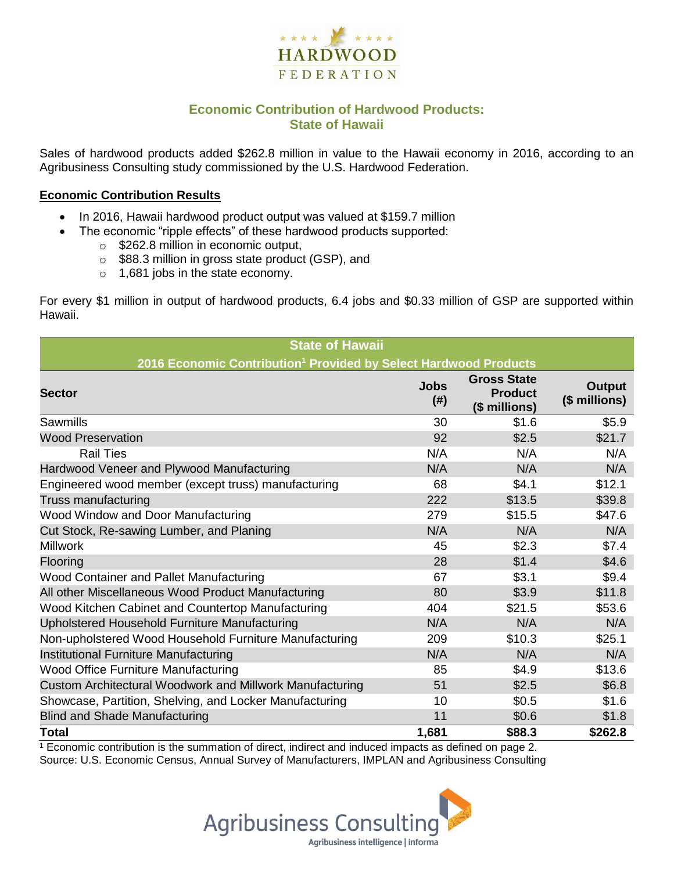

## **Economic Contribution of Hardwood Products: State of Hawaii**

Sales of hardwood products added \$262.8 million in value to the Hawaii economy in 2016, according to an Agribusiness Consulting study commissioned by the U.S. Hardwood Federation.

#### **Economic Contribution Results**

- In 2016, Hawaii hardwood product output was valued at \$159.7 million
	- The economic "ripple effects" of these hardwood products supported:
		- o \$262.8 million in economic output,
		- o \$88.3 million in gross state product (GSP), and
		- o 1,681 jobs in the state economy.

For every \$1 million in output of hardwood products, 6.4 jobs and \$0.33 million of GSP are supported within Hawaii.

| <b>State of Hawaii</b>                                                       |                     |                                                       |                         |  |  |  |
|------------------------------------------------------------------------------|---------------------|-------------------------------------------------------|-------------------------|--|--|--|
| 2016 Economic Contribution <sup>1</sup> Provided by Select Hardwood Products |                     |                                                       |                         |  |  |  |
| <b>Sector</b>                                                                | <b>Jobs</b><br>(# ) | <b>Gross State</b><br><b>Product</b><br>(\$ millions) | Output<br>(\$ millions) |  |  |  |
| Sawmills                                                                     | 30                  | \$1.6                                                 | \$5.9                   |  |  |  |
| <b>Wood Preservation</b>                                                     | 92                  | \$2.5                                                 | \$21.7                  |  |  |  |
| <b>Rail Ties</b>                                                             | N/A                 | N/A                                                   | N/A                     |  |  |  |
| Hardwood Veneer and Plywood Manufacturing                                    | N/A                 | N/A                                                   | N/A                     |  |  |  |
| Engineered wood member (except truss) manufacturing                          | 68                  | \$4.1                                                 | \$12.1                  |  |  |  |
| Truss manufacturing                                                          | 222                 | \$13.5                                                | \$39.8                  |  |  |  |
| Wood Window and Door Manufacturing                                           | 279                 | \$15.5                                                | \$47.6                  |  |  |  |
| Cut Stock, Re-sawing Lumber, and Planing                                     | N/A                 | N/A                                                   | N/A                     |  |  |  |
| <b>Millwork</b>                                                              | 45                  | \$2.3                                                 | \$7.4                   |  |  |  |
| Flooring                                                                     | 28                  | \$1.4                                                 | \$4.6                   |  |  |  |
| Wood Container and Pallet Manufacturing                                      | 67                  | \$3.1                                                 | \$9.4                   |  |  |  |
| All other Miscellaneous Wood Product Manufacturing                           | 80                  | \$3.9                                                 | \$11.8                  |  |  |  |
| Wood Kitchen Cabinet and Countertop Manufacturing                            | 404                 | \$21.5                                                | \$53.6                  |  |  |  |
| Upholstered Household Furniture Manufacturing                                | N/A                 | N/A                                                   | N/A                     |  |  |  |
| Non-upholstered Wood Household Furniture Manufacturing                       | 209                 | \$10.3                                                | \$25.1                  |  |  |  |
| Institutional Furniture Manufacturing                                        | N/A                 | N/A                                                   | N/A                     |  |  |  |
| <b>Wood Office Furniture Manufacturing</b>                                   | 85                  | \$4.9                                                 | \$13.6                  |  |  |  |
| Custom Architectural Woodwork and Millwork Manufacturing                     | 51                  | \$2.5                                                 | \$6.8                   |  |  |  |
| Showcase, Partition, Shelving, and Locker Manufacturing                      | 10                  | \$0.5                                                 | \$1.6                   |  |  |  |
| <b>Blind and Shade Manufacturing</b>                                         | 11                  | \$0.6                                                 | \$1.8                   |  |  |  |
| <b>Total</b>                                                                 | 1,681               | \$88.3                                                | \$262.8                 |  |  |  |

 $1$  Economic contribution is the summation of direct, indirect and induced impacts as defined on page 2. Source: U.S. Economic Census, Annual Survey of Manufacturers, IMPLAN and Agribusiness Consulting